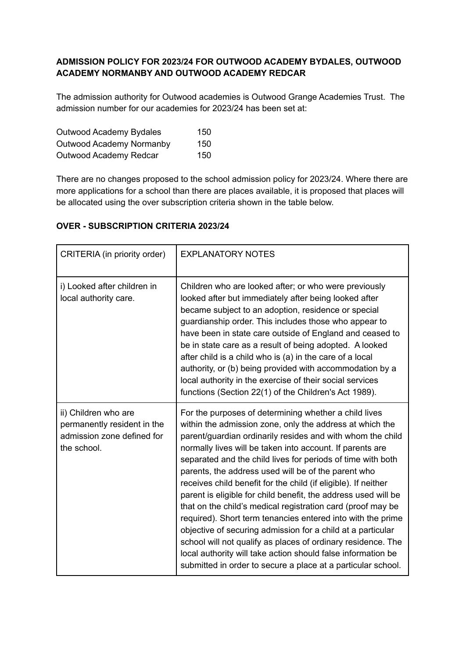# **ADMISSION POLICY FOR 2023/24 FOR OUTWOOD ACADEMY BYDALES, OUTWOOD ACADEMY NORMANBY AND OUTWOOD ACADEMY REDCAR**

The admission authority for Outwood academies is Outwood Grange Academies Trust. The admission number for our academies for 2023/24 has been set at:

| Outwood Academy Bydales         | 150 |
|---------------------------------|-----|
| <b>Outwood Academy Normanby</b> | 150 |
| Outwood Academy Redcar          | 150 |

There are no changes proposed to the school admission policy for 2023/24. Where there are more applications for a school than there are places available, it is proposed that places will be allocated using the over subscription criteria shown in the table below.

| CRITERIA (in priority order)                                                                     | <b>EXPLANATORY NOTES</b>                                                                                                                                                                                                                                                                                                                                                                                                                                                                                                                                                                                                                                                                                                                                                                                                                                                                            |
|--------------------------------------------------------------------------------------------------|-----------------------------------------------------------------------------------------------------------------------------------------------------------------------------------------------------------------------------------------------------------------------------------------------------------------------------------------------------------------------------------------------------------------------------------------------------------------------------------------------------------------------------------------------------------------------------------------------------------------------------------------------------------------------------------------------------------------------------------------------------------------------------------------------------------------------------------------------------------------------------------------------------|
| i) Looked after children in<br>local authority care.                                             | Children who are looked after; or who were previously<br>looked after but immediately after being looked after<br>became subject to an adoption, residence or special<br>guardianship order. This includes those who appear to<br>have been in state care outside of England and ceased to<br>be in state care as a result of being adopted. A looked<br>after child is a child who is (a) in the care of a local<br>authority, or (b) being provided with accommodation by a<br>local authority in the exercise of their social services<br>functions (Section 22(1) of the Children's Act 1989).                                                                                                                                                                                                                                                                                                  |
| ii) Children who are<br>permanently resident in the<br>admission zone defined for<br>the school. | For the purposes of determining whether a child lives<br>within the admission zone, only the address at which the<br>parent/guardian ordinarily resides and with whom the child<br>normally lives will be taken into account. If parents are<br>separated and the child lives for periods of time with both<br>parents, the address used will be of the parent who<br>receives child benefit for the child (if eligible). If neither<br>parent is eligible for child benefit, the address used will be<br>that on the child's medical registration card (proof may be<br>required). Short term tenancies entered into with the prime<br>objective of securing admission for a child at a particular<br>school will not qualify as places of ordinary residence. The<br>local authority will take action should false information be<br>submitted in order to secure a place at a particular school. |

# **OVER - SUBSCRIPTION CRITERIA 2023/24**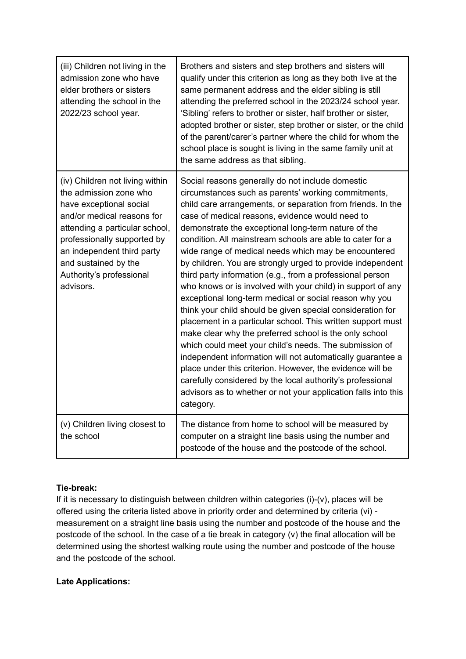| (iii) Children not living in the<br>admission zone who have<br>elder brothers or sisters<br>attending the school in the<br>2022/23 school year.                                                                                                                                    | Brothers and sisters and step brothers and sisters will<br>qualify under this criterion as long as they both live at the<br>same permanent address and the elder sibling is still<br>attending the preferred school in the 2023/24 school year.<br>'Sibling' refers to brother or sister, half brother or sister,<br>adopted brother or sister, step brother or sister, or the child<br>of the parent/carer's partner where the child for whom the<br>school place is sought is living in the same family unit at<br>the same address as that sibling.                                                                                                                                                                                                                                                                                                                                                                                                                                                                                                                                                                                                                             |
|------------------------------------------------------------------------------------------------------------------------------------------------------------------------------------------------------------------------------------------------------------------------------------|------------------------------------------------------------------------------------------------------------------------------------------------------------------------------------------------------------------------------------------------------------------------------------------------------------------------------------------------------------------------------------------------------------------------------------------------------------------------------------------------------------------------------------------------------------------------------------------------------------------------------------------------------------------------------------------------------------------------------------------------------------------------------------------------------------------------------------------------------------------------------------------------------------------------------------------------------------------------------------------------------------------------------------------------------------------------------------------------------------------------------------------------------------------------------------|
| (iv) Children not living within<br>the admission zone who<br>have exceptional social<br>and/or medical reasons for<br>attending a particular school,<br>professionally supported by<br>an independent third party<br>and sustained by the<br>Authority's professional<br>advisors. | Social reasons generally do not include domestic<br>circumstances such as parents' working commitments,<br>child care arrangements, or separation from friends. In the<br>case of medical reasons, evidence would need to<br>demonstrate the exceptional long-term nature of the<br>condition. All mainstream schools are able to cater for a<br>wide range of medical needs which may be encountered<br>by children. You are strongly urged to provide independent<br>third party information (e.g., from a professional person<br>who knows or is involved with your child) in support of any<br>exceptional long-term medical or social reason why you<br>think your child should be given special consideration for<br>placement in a particular school. This written support must<br>make clear why the preferred school is the only school<br>which could meet your child's needs. The submission of<br>independent information will not automatically guarantee a<br>place under this criterion. However, the evidence will be<br>carefully considered by the local authority's professional<br>advisors as to whether or not your application falls into this<br>category. |
| (v) Children living closest to<br>the school                                                                                                                                                                                                                                       | The distance from home to school will be measured by<br>computer on a straight line basis using the number and<br>postcode of the house and the postcode of the school.                                                                                                                                                                                                                                                                                                                                                                                                                                                                                                                                                                                                                                                                                                                                                                                                                                                                                                                                                                                                            |

# **Tie-break:**

If it is necessary to distinguish between children within categories (i)-(v), places will be offered using the criteria listed above in priority order and determined by criteria (vi) measurement on a straight line basis using the number and postcode of the house and the postcode of the school. In the case of a tie break in category (v) the final allocation will be determined using the shortest walking route using the number and postcode of the house and the postcode of the school.

## **Late Applications:**